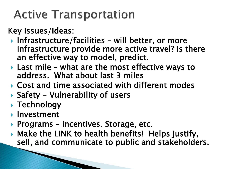## **Active Transportation**

## Key Issues/Ideas:

- Infrastructure/facilities will better, or more infrastructure provide more active travel? Is there an effective way to model, predict.
- ▶ Last mile what are the most effective ways to address. What about last 3 miles
- Cost and time associated with different modes
- $\triangleright$  Safety Vulnerability of users
- ▶ Technology
- **Investment**
- ▶ Programs incentives. Storage, etc.
- Make the LINK to health benefits! Helps justify, sell, and communicate to public and stakeholders.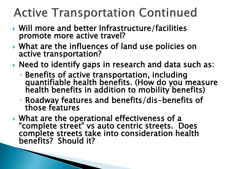## **Active Transportation Continued**

- ▶ Will more and better Infrastructure/facilities promote more active travel?
- What are the influences of land use policies on active transportation?
- ▶ Need to identify gaps in research and data such as:
	- Benefits of active transportation, including quantifiable health benefits. (How do you measure health benefits in addition to mobility benefits)
	- Roadway features and benefits/dis-benefits of those features
- ▶ What are the operational effectiveness of a "complete street" vs auto centric streets. Does complete streets take into consideration health benefits? Should it?